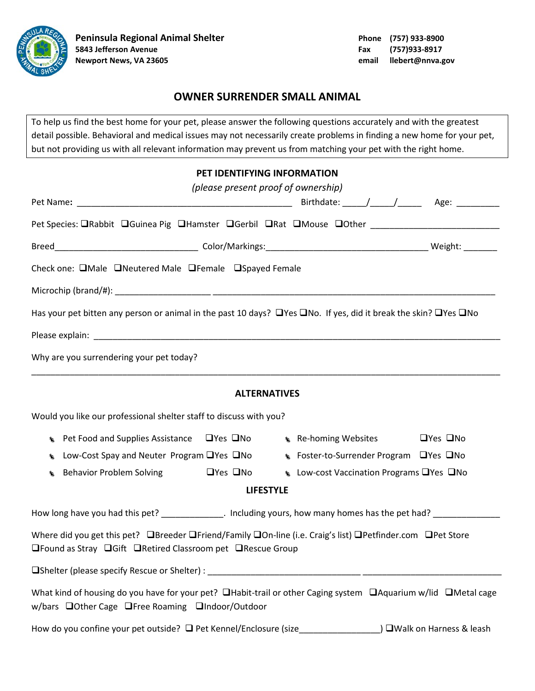

## **OWNER SURRENDER SMALL ANIMAL**

To help us find the best home for your pet, please answer the following questions accurately and with the greatest detail possible. Behavioral and medical issues may not necessarily create problems in finding a new home for your pet, but not providing us with all relevant information may prevent us from matching your pet with the right home.

## **PET IDENTIFYING INFORMATION**

|                                                                                                                                                                                                           | (please present proof of ownership)                                                   |  |                            |  |  |  |  |
|-----------------------------------------------------------------------------------------------------------------------------------------------------------------------------------------------------------|---------------------------------------------------------------------------------------|--|----------------------------|--|--|--|--|
|                                                                                                                                                                                                           |                                                                                       |  |                            |  |  |  |  |
| Pet Species: ORabbit OGuinea Pig OHamster OGerbil ORat OMouse OOther ______________________________                                                                                                       |                                                                                       |  |                            |  |  |  |  |
|                                                                                                                                                                                                           |                                                                                       |  |                            |  |  |  |  |
| Check one: □Male □Neutered Male □Female □Spayed Female                                                                                                                                                    |                                                                                       |  |                            |  |  |  |  |
|                                                                                                                                                                                                           |                                                                                       |  |                            |  |  |  |  |
| Has your pet bitten any person or animal in the past 10 days? $\Box$ Yes $\Box$ No. If yes, did it break the skin? $\Box$ Yes $\Box$ No                                                                   |                                                                                       |  |                            |  |  |  |  |
|                                                                                                                                                                                                           |                                                                                       |  |                            |  |  |  |  |
| Why are you surrendering your pet today?                                                                                                                                                                  |                                                                                       |  |                            |  |  |  |  |
| <b>ALTERNATIVES</b>                                                                                                                                                                                       |                                                                                       |  |                            |  |  |  |  |
| Would you like our professional shelter staff to discuss with you?                                                                                                                                        |                                                                                       |  |                            |  |  |  |  |
| <b>EXECUTE:</b> Pet Food and Supplies Assistance $\Box$ Yes $\Box$ No $\Box$ Re-homing Websites                                                                                                           |                                                                                       |  | $\Box$ Yes $\Box$ No       |  |  |  |  |
| 亀                                                                                                                                                                                                         | Low-Cost Spay and Neuter Program □ Yes □ No<br>Superation Surrender Program DYes DNo  |  |                            |  |  |  |  |
| $\mathbf{r}$                                                                                                                                                                                              | Behavior Problem Solving <b>EXALC SECUTE:</b> Low-cost Vaccination Programs EXALC BOO |  |                            |  |  |  |  |
| <b>LIFESTYLE</b>                                                                                                                                                                                          |                                                                                       |  |                            |  |  |  |  |
| How long have you had this pet? ______________. Including yours, how many homes has the pet had? ____________                                                                                             |                                                                                       |  |                            |  |  |  |  |
| Where did you get this pet? <b>OB</b> reeder <b>OF</b> riend/Family <b>OOn-line (i.e. Craig's list) O</b> Petfinder.com <b>OPE</b> Store<br>□Found as Stray □ Gift □ Retired Classroom pet □ Rescue Group |                                                                                       |  |                            |  |  |  |  |
| $\Box$ Shelter (please specify Rescue or Shelter) :                                                                                                                                                       |                                                                                       |  |                            |  |  |  |  |
| What kind of housing do you have for your pet? $\Box$ Habit-trail or other Caging system $\Box$ Aquarium w/lid $\Box$ Metal cage<br>w/bars □Other Cage □Free Roaming □Indoor/Outdoor                      |                                                                                       |  |                            |  |  |  |  |
|                                                                                                                                                                                                           |                                                                                       |  | ) □Walk on Harness & leash |  |  |  |  |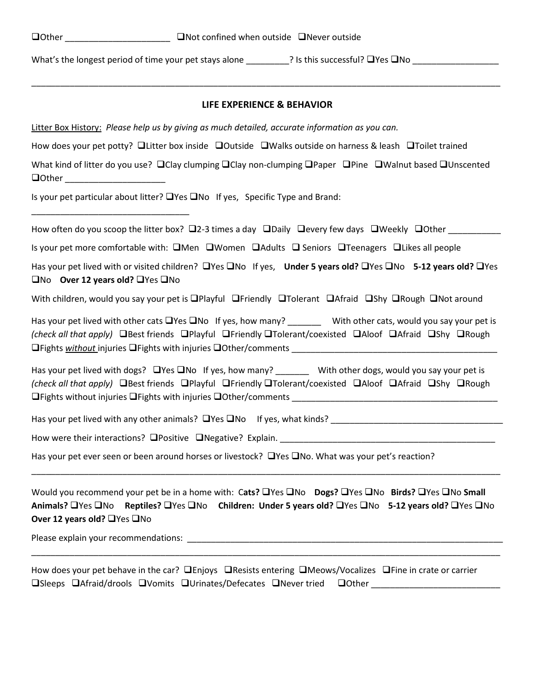What's the longest period of time your pet stays alone \_\_\_\_\_\_\_\_\_? Is this successful? Yes No \_\_\_\_\_\_\_\_\_\_\_\_\_\_\_\_\_\_

#### **LIFE EXPERIENCE & BEHAVIOR**

\_\_\_\_\_\_\_\_\_\_\_\_\_\_\_\_\_\_\_\_\_\_\_\_\_\_\_\_\_\_\_\_\_\_\_\_\_\_\_\_\_\_\_\_\_\_\_\_\_\_\_\_\_\_\_\_\_\_\_\_\_\_\_\_\_\_\_\_\_\_\_\_\_\_\_\_\_\_\_\_\_\_\_\_\_\_\_\_\_\_\_\_\_\_\_\_\_\_

Litter Box History: *Please help us by giving as much detailed, accurate information as you can.*

How does your pet potty?  $\Box$  Litter box inside  $\Box$  Outside  $\Box$  Walks outside on harness & leash  $\Box$  Toilet trained

What kind of litter do you use?  $\Box$ Clay clumping  $\Box$ Clay non-clumping  $\Box$ Paper  $\Box$ Pine  $\Box$ Walnut based  $\Box$ Unscented  $\Box$  Other  $\Box$ 

Is your pet particular about litter?  $\Box$  Yes  $\Box$  No If yes, Specific Type and Brand:

How often do you scoop the litter box?  $\Box$ 2-3 times a day  $\Box$ Daily  $\Box$ every few days  $\Box$ Weekly  $\Box$ Other

Is your pet more comfortable with:  $\square$ Men  $\square$ Women  $\square$ Adults  $\square$  Seniors  $\square$ Teenagers  $\square$ Likes all people

Has your pet lived with or visited children? **O**Yes ONo If yes, **Under 5 years old? OYes ONo 5-12 years old?** OYes □No Over 12 years old? □Yes □No

With children, would you say your pet is  $\Box$ Playful  $\Box$ Friendly  $\Box$ Tolerant  $\Box$ Afraid  $\Box$ Shy  $\Box$ Rough  $\Box$ Not around

Has your pet lived with other cats  $\Box$  Yes  $\Box$  No If yes, how many? With other cats, would you say your pet is *(check all that apply)* **Best friends Playful Priendly Prolerant/coexisted PAIoof PAFraid PShy PRough □Fights without injuries □Fights with injuries □Other/comments** 

Has your pet lived with dogs?  $\Box$  Yes  $\Box$  No If yes, how many? With other dogs, would you say your pet is *(check all that apply)* DBest friends DPlayful DFriendly DTolerant/coexisted DAloof DAfraid DShy DRough Fights without injuries Fights with injuries Other/comments \_\_\_\_\_\_\_\_\_\_\_\_\_\_\_\_\_\_\_\_\_\_\_\_\_\_\_\_\_\_\_\_\_\_\_\_\_\_\_\_\_\_\_

Has your pet lived with any other animals?  $\Box$  Yes  $\Box$  No If yes, what kinds?

How were their interactions?  $\Box$  Positive  $\Box$  Negative? Explain.

Has your pet ever seen or been around horses or livestock?  $\Box$  Yes  $\Box$  No. What was your pet's reaction?

Would you recommend your pet be in a home with: Cats? UYes UNo **Dogs?** UYes UNo **Birds?** UYes UNo Small **Animals?** UYes □No Reptiles? □Yes □No Children: Under 5 years old? □Yes □No 5-12 years old? □Yes □No **Over 12 years old?** UYes UNo

\_\_\_\_\_\_\_\_\_\_\_\_\_\_\_\_\_\_\_\_\_\_\_\_\_\_\_\_\_\_\_\_\_\_\_\_\_\_\_\_\_\_\_\_\_\_\_\_\_\_\_\_\_\_\_\_\_\_\_\_\_\_\_\_\_\_\_\_\_\_\_\_\_\_\_\_\_\_\_\_\_\_\_\_\_\_\_\_\_\_\_\_\_\_\_\_\_\_

\_\_\_\_\_\_\_\_\_\_\_\_\_\_\_\_\_\_\_\_\_\_\_\_\_\_\_\_\_\_\_\_\_\_\_\_\_\_\_\_\_\_\_\_\_\_\_\_\_\_\_\_\_\_\_\_\_\_\_\_\_\_\_\_\_\_\_\_\_\_\_\_\_\_\_\_\_\_\_\_\_\_\_\_\_\_\_\_\_\_\_\_\_\_\_\_\_\_

Please explain your recommendations: **with a set of the set of the set of the set of the set of the set of the set of the set of the set of the set of the set of the set of the set of the set of the set of the set of the s** 

\_\_\_\_\_\_\_\_\_\_\_\_\_\_\_\_\_\_\_\_\_\_\_\_\_\_\_\_\_\_\_\_\_

How does your pet behave in the car?  $\Box$  Enjoys  $\Box$  Resists entering  $\Box$  Meows/Vocalizes  $\Box$  Fine in crate or carrier  $\square$ Sleeps  $\square$ Afraid/drools  $\square$ Vomits  $\square$ Urinates/Defecates  $\square$ Never tried  $\square$ Other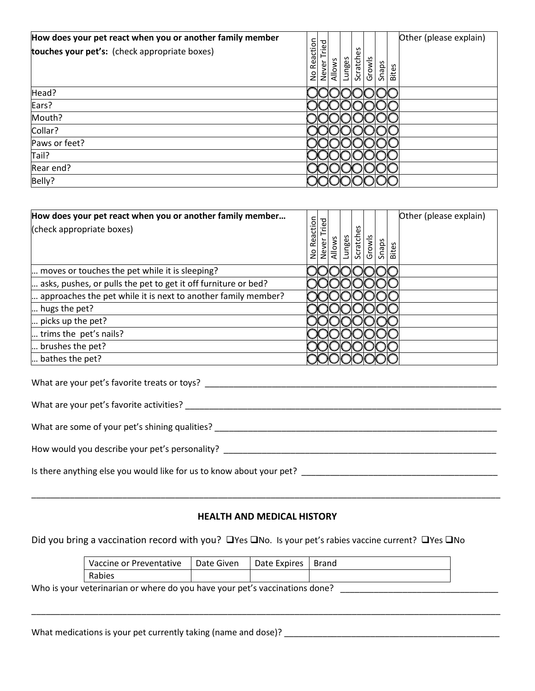| How does your pet react when you or another family member |               |            |        |        |           |        |       | Other (please explain) |
|-----------------------------------------------------------|---------------|------------|--------|--------|-----------|--------|-------|------------------------|
| touches your pet's: (check appropriate boxes)             | Reaction<br>å | ဥ<br>Never | Allows | Lunges | Scratches | Growls | Snaps | Bites                  |
| Head?                                                     |               |            |        |        |           |        |       |                        |
| Ears?                                                     |               |            |        |        |           |        |       |                        |
| Mouth?                                                    |               |            |        |        |           |        |       |                        |
| Collar?                                                   |               |            |        |        |           |        |       |                        |
| Paws or feet?                                             |               |            |        |        |           |        |       |                        |
| Tail?                                                     |               |            |        |        |           |        |       |                        |
| Rear end?                                                 |               |            |        |        |           |        |       |                        |
| Belly?                                                    |               |            |        |        |           |        |       |                        |

| How does your pet react when you or another family member      |                           |                |        |        |                    |        |       |       | Other (please explain) |
|----------------------------------------------------------------|---------------------------|----------------|--------|--------|--------------------|--------|-------|-------|------------------------|
| (check appropriate boxes)                                      | Reaction<br>$\frac{1}{2}$ | Tried<br>Never | Allows | Lunges | n<br>Φ<br>Scratche | Growls | Snaps | Bites |                        |
| moves or touches the pet while it is sleeping?                 |                           |                |        |        |                    |        |       |       |                        |
| asks, pushes, or pulls the pet to get it off furniture or bed? |                           |                |        |        |                    |        |       |       |                        |
| approaches the pet while it is next to another family member?  |                           |                |        |        |                    |        |       |       |                        |
| hugs the pet?                                                  |                           |                |        |        |                    |        |       |       |                        |
| picks up the pet?                                              |                           |                |        |        |                    |        |       |       |                        |
| trims the pet's nails?                                         |                           |                |        |        |                    |        |       |       |                        |
| brushes the pet?                                               |                           |                |        |        |                    |        |       |       |                        |
| bathes the pet?                                                |                           |                |        |        |                    |        |       |       |                        |

| What are your pet's favorite treats or toys?                         |
|----------------------------------------------------------------------|
| What are your pet's favorite activities?                             |
| What are some of your pet's shining qualities?                       |
| How would you describe your pet's personality?                       |
| Is there anything else you would like for us to know about your pet? |

### **HEALTH AND MEDICAL HISTORY**

\_\_\_\_\_\_\_\_\_\_\_\_\_\_\_\_\_\_\_\_\_\_\_\_\_\_\_\_\_\_\_\_\_\_\_\_\_\_\_\_\_\_\_\_\_\_\_\_\_\_\_\_\_\_\_\_\_\_\_\_\_\_\_\_\_\_\_\_\_\_\_\_\_\_\_\_\_\_\_\_\_\_\_\_\_\_\_\_\_\_\_\_\_\_\_\_\_\_

Did you bring a vaccination record with you? □ Yes □ No. Is your pet's rabies vaccine current? □ Yes □ No

| Vaccine or Preventative | Date Given | Date Expires | Brand |
|-------------------------|------------|--------------|-------|
| Rabies                  |            |              |       |

\_\_\_\_\_\_\_\_\_\_\_\_\_\_\_\_\_\_\_\_\_\_\_\_\_\_\_\_\_\_\_\_\_\_\_\_\_\_\_\_\_\_\_\_\_\_\_\_\_\_\_\_\_\_\_\_\_\_\_\_\_\_\_\_\_\_\_\_\_\_\_\_\_\_\_\_\_\_\_\_\_\_\_\_\_\_\_\_\_\_\_\_\_\_\_\_\_\_

Who is your veterinarian or where do you have your pet's vaccinations done? \_\_\_\_\_\_\_\_\_\_\_\_\_\_\_\_\_\_\_\_\_\_\_\_\_\_\_\_\_\_\_\_\_\_

What medications is your pet currently taking (name and dose)? \_\_\_\_\_\_\_\_\_\_\_\_\_\_\_\_\_\_\_\_\_\_\_\_\_\_\_\_\_\_\_\_\_\_\_\_\_\_\_\_\_\_\_\_\_